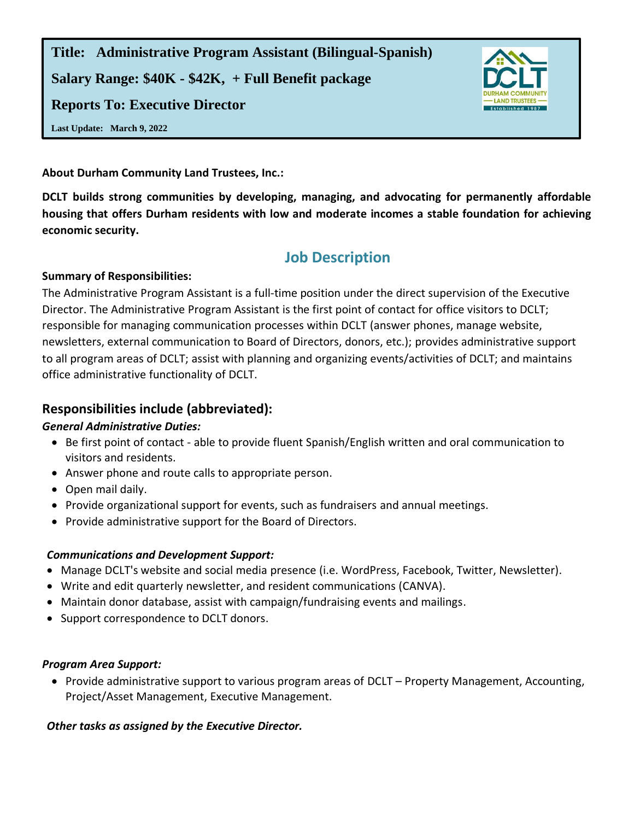**Title: Administrative Program Assistant (Bilingual-Spanish) Salary Range: \$40K - \$42K, + Full Benefit package Reports To: Executive Director**



**Last Update: March 9, 2022**

**About Durham Community Land Trustees, Inc.:** 

**DCLT builds strong communities by developing, managing, and advocating for permanently affordable housing that offers Durham residents with low and moderate incomes a stable foundation for achieving economic security.**

# **Job Description**

#### **Summary of Responsibilities:**

The Administrative Program Assistant is a full-time position under the direct supervision of the Executive Director. The Administrative Program Assistant is the first point of contact for office visitors to DCLT; responsible for managing communication processes within DCLT (answer phones, manage website, newsletters, external communication to Board of Directors, donors, etc.); provides administrative support to all program areas of DCLT; assist with planning and organizing events/activities of DCLT; and maintains office administrative functionality of DCLT.

## **Responsibilities include (abbreviated):**

### *General Administrative Duties:*

- Be first point of contact able to provide fluent Spanish/English written and oral communication to visitors and residents.
- Answer phone and route calls to appropriate person.
- Open mail daily.
- Provide organizational support for events, such as fundraisers and annual meetings.
- Provide administrative support for the Board of Directors.

### *Communications and Development Support:*

- Manage DCLT's website and social media presence (i.e. WordPress, Facebook, Twitter, Newsletter).
- Write and edit quarterly newsletter, and resident communications (CANVA).
- Maintain donor database, assist with campaign/fundraising events and mailings.
- Support correspondence to DCLT donors.

### *Program Area Support:*

• Provide administrative support to various program areas of DCLT – Property Management, Accounting, Project/Asset Management, Executive Management.

### *Other tasks as assigned by the Executive Director.*